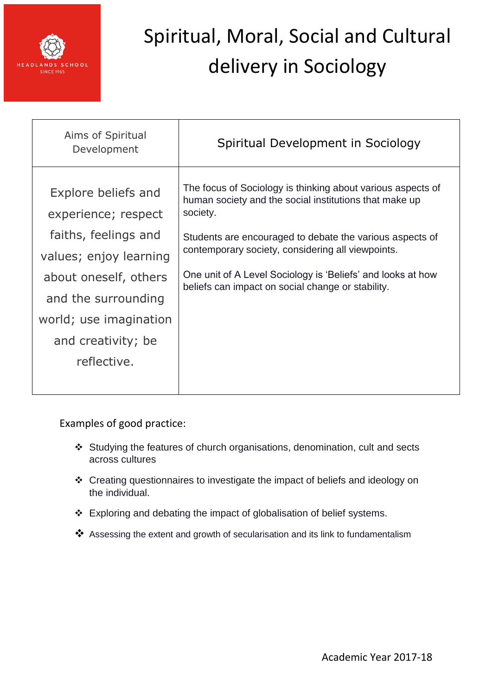

| Aims of Spiritual<br>Development                                                             | Spiritual Development in Sociology                                                                                                                                                                                                                 |
|----------------------------------------------------------------------------------------------|----------------------------------------------------------------------------------------------------------------------------------------------------------------------------------------------------------------------------------------------------|
| Explore beliefs and<br>experience; respect<br>faiths, feelings and<br>values; enjoy learning | The focus of Sociology is thinking about various aspects of<br>human society and the social institutions that make up<br>society.<br>Students are encouraged to debate the various aspects of<br>contemporary society, considering all viewpoints. |
| about oneself, others<br>and the surrounding<br>world; use imagination<br>and creativity; be | One unit of A Level Sociology is 'Beliefs' and looks at how<br>beliefs can impact on social change or stability.                                                                                                                                   |
| reflective.                                                                                  |                                                                                                                                                                                                                                                    |

- Studying the features of church organisations, denomination, cult and sects across cultures
- Creating questionnaires to investigate the impact of beliefs and ideology on the individual.
- \* Exploring and debating the impact of globalisation of belief systems.
- \*\* Assessing the extent and growth of secularisation and its link to fundamentalism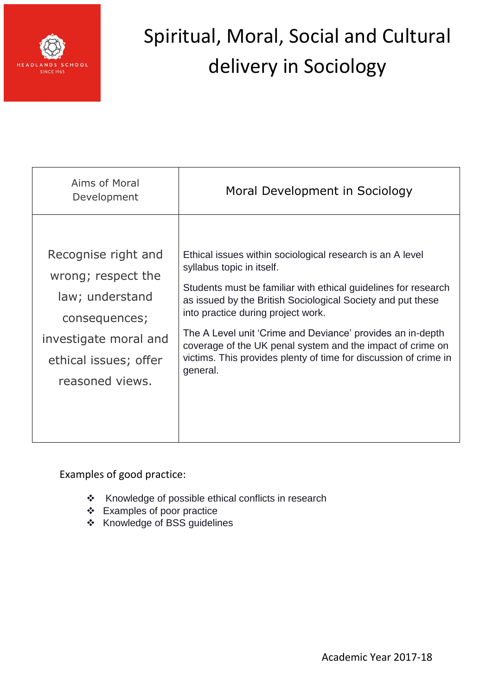

| Aims of Moral<br>Development                                                                                                                       | Moral Development in Sociology                                                                                                                                                                                                                                                                                                                                                                                                                                            |
|----------------------------------------------------------------------------------------------------------------------------------------------------|---------------------------------------------------------------------------------------------------------------------------------------------------------------------------------------------------------------------------------------------------------------------------------------------------------------------------------------------------------------------------------------------------------------------------------------------------------------------------|
| Recognise right and<br>wrong; respect the<br>law; understand<br>consequences;<br>investigate moral and<br>ethical issues; offer<br>reasoned views. | Ethical issues within sociological research is an A level<br>syllabus topic in itself.<br>Students must be familiar with ethical guidelines for research<br>as issued by the British Sociological Society and put these<br>into practice during project work.<br>The A Level unit 'Crime and Deviance' provides an in-depth<br>coverage of the UK penal system and the impact of crime on<br>victims. This provides plenty of time for discussion of crime in<br>general. |

- \* Knowledge of possible ethical conflicts in research
- Examples of poor practice
- Knowledge of BSS guidelines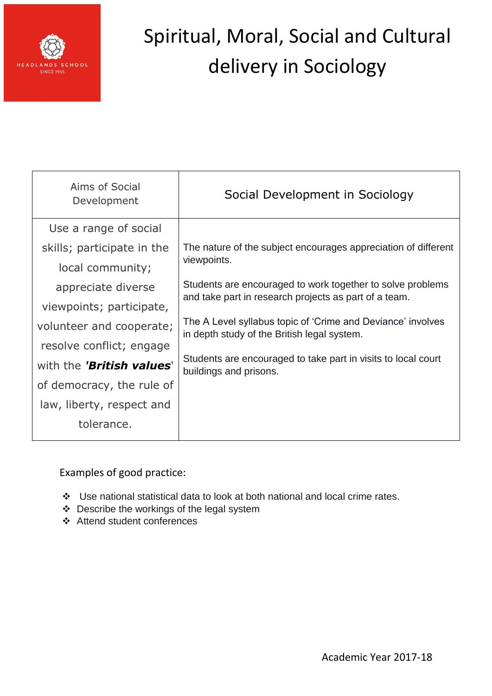

| Aims of Social<br>Development | Social Development in Sociology                                                                            |
|-------------------------------|------------------------------------------------------------------------------------------------------------|
| Use a range of social         |                                                                                                            |
| skills; participate in the    | The nature of the subject encourages appreciation of different                                             |
| local community;              | viewpoints.                                                                                                |
| appreciate diverse            | Students are encouraged to work together to solve problems                                                 |
| viewpoints; participate,      | and take part in research projects as part of a team.                                                      |
| volunteer and cooperate;      | The A Level syllabus topic of 'Crime and Deviance' involves<br>in depth study of the British legal system. |
| resolve conflict; engage      |                                                                                                            |
| with the 'British values'     | Students are encouraged to take part in visits to local court<br>buildings and prisons.                    |
| of democracy, the rule of     |                                                                                                            |
| law, liberty, respect and     |                                                                                                            |
| tolerance.                    |                                                                                                            |
|                               |                                                                                                            |

- Use national statistical data to look at both national and local crime rates.
- Describe the workings of the legal system
- Attend student conferences